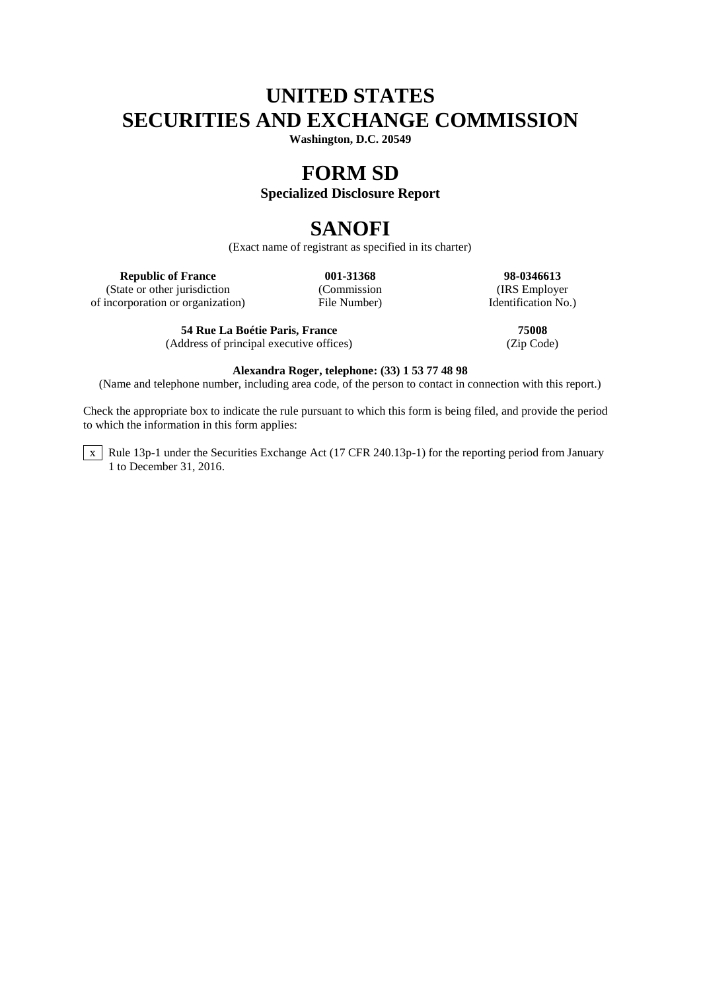# **UNITED STATES SECURITIES AND EXCHANGE COMMISSION**

**Washington, D.C. 20549**

## **FORM SD**

### **Specialized Disclosure Report**

# **SANOFI**

(Exact name of registrant as specified in its charter)

**Republic of France 001-31368 98-0346613**

(State or other jurisdiction (Commission (Commission (IRS Employer incorporation or organization) File Number)  $\blacksquare$  Employer  $\blacksquare$ of incorporation or organization)

**54 Rue La Boétie Paris, France 75008** (Address of principal executive offices) (Zip Code)

### **Alexandra Roger, telephone: (33) 1 53 77 48 98**

(Name and telephone number, including area code, of the person to contact in connection with this report.)

Check the appropriate box to indicate the rule pursuant to which this form is being filed, and provide the period to which the information in this form applies:

 $\overline{x}$  Rule 13p-1 under the Securities Exchange Act (17 CFR 240.13p-1) for the reporting period from January 1 to December 31, 2016.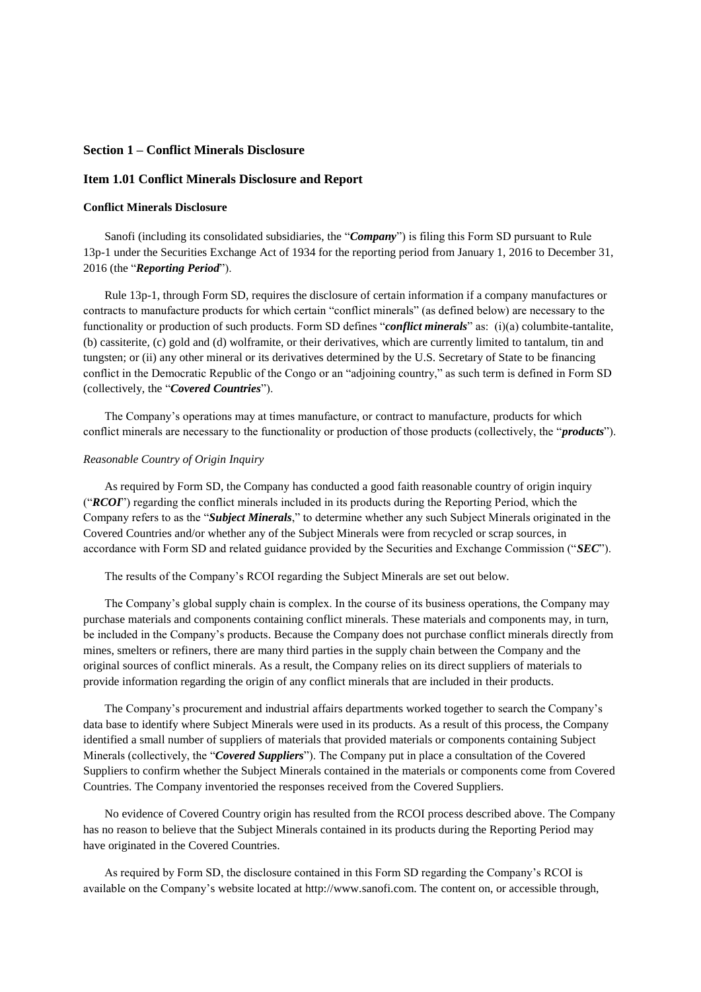### **Section 1 – Conflict Minerals Disclosure**

#### **Item 1.01 Conflict Minerals Disclosure and Report**

#### **Conflict Minerals Disclosure**

Sanofi (including its consolidated subsidiaries, the "*Company*") is filing this Form SD pursuant to Rule 13p-1 under the Securities Exchange Act of 1934 for the reporting period from January 1, 2016 to December 31, 2016 (the "*Reporting Period*").

Rule 13p-1, through Form SD, requires the disclosure of certain information if a company manufactures or contracts to manufacture products for which certain "conflict minerals" (as defined below) are necessary to the functionality or production of such products. Form SD defines "*conflict minerals*" as: (i)(a) columbite-tantalite, (b) cassiterite, (c) gold and (d) wolframite, or their derivatives, which are currently limited to tantalum, tin and tungsten; or (ii) any other mineral or its derivatives determined by the U.S. Secretary of State to be financing conflict in the Democratic Republic of the Congo or an "adjoining country," as such term is defined in Form SD (collectively, the "*Covered Countries*").

The Company's operations may at times manufacture, or contract to manufacture, products for which conflict minerals are necessary to the functionality or production of those products (collectively, the "*products*").

#### *Reasonable Country of Origin Inquiry*

As required by Form SD, the Company has conducted a good faith reasonable country of origin inquiry ("*RCOI*") regarding the conflict minerals included in its products during the Reporting Period, which the Company refers to as the "*Subject Minerals*," to determine whether any such Subject Minerals originated in the Covered Countries and/or whether any of the Subject Minerals were from recycled or scrap sources, in accordance with Form SD and related guidance provided by the Securities and Exchange Commission ("*SEC*").

The results of the Company's RCOI regarding the Subject Minerals are set out below.

The Company's global supply chain is complex. In the course of its business operations, the Company may purchase materials and components containing conflict minerals. These materials and components may, in turn, be included in the Company's products. Because the Company does not purchase conflict minerals directly from mines, smelters or refiners, there are many third parties in the supply chain between the Company and the original sources of conflict minerals. As a result, the Company relies on its direct suppliers of materials to provide information regarding the origin of any conflict minerals that are included in their products.

The Company's procurement and industrial affairs departments worked together to search the Company's data base to identify where Subject Minerals were used in its products. As a result of this process, the Company identified a small number of suppliers of materials that provided materials or components containing Subject Minerals (collectively, the "*Covered Suppliers*"). The Company put in place a consultation of the Covered Suppliers to confirm whether the Subject Minerals contained in the materials or components come from Covered Countries. The Company inventoried the responses received from the Covered Suppliers.

No evidence of Covered Country origin has resulted from the RCOI process described above. The Company has no reason to believe that the Subject Minerals contained in its products during the Reporting Period may have originated in the Covered Countries.

As required by Form SD, the disclosure contained in this Form SD regarding the Company's RCOI is available on the Company's website located at http://www.sanofi.com. The content on, or accessible through,